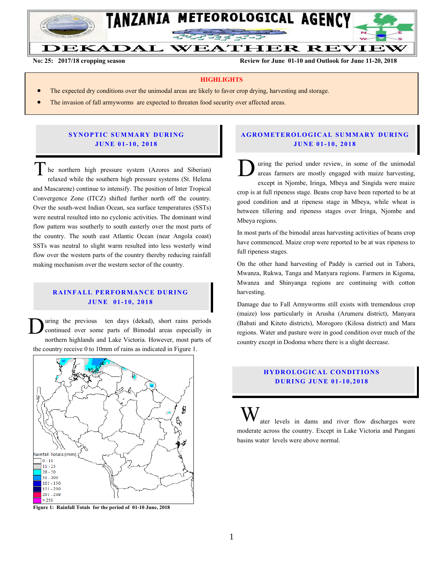

**No: 25: 2017/18 cropping season Review for June 01-10 and Outlook for June 11-20, 2018**

#### **HIGHLIGHTS**

- The expected dry conditions over the unimodal areas are likely to favor crop drying, harvesting and storage.
- The invasion of fall armyworms are expected to threaten food security over affected areas.

#### **SYNOPTIC SUMMARY DURING JU N E 01- 10, 201 8**

he northern high pressure system (Azores and Siberian) relaxed while the southern high pressure systems (St. Helena and Mascarene) continue to intensify. The position of Inter Tropical Convergence Zone (ITCZ) shifted further north off the country. Over the south-west Indian Ocean, sea surface temperatures (SSTs) were neutral resulted into no cyclonic activities. The dominant wind flow pattern was southerly to south easterly over the most parts of the country. The south east Atlantic Ocean (near Angola coast) SSTs was neutral to slight warm resulted into less westerly wind flow over the western parts of the country thereby reducing rainfall making mechanism over the western sector of the country. The northern high pressure system (Azores and Siberian)<br>relaxed while the southern high pressure systems (St. Helena

## **RAINFALL PERFORMANCE DURING JU N E 01- 10, 201 8**

uring the previous ten days (dekad), short rains periods continued over some parts of Bimodal areas especially in northern highlands and Lake Victoria. However, most parts of the country receive 0 to 10mm of rains as indicated in Figure 1. D



**Figure 1: Rainfall Totals for the period of 01-10 June, 2018**

## **A G RO METER O LO G IC AL SU MMAR Y DU R IN G JU N E 01 - 10, 201 8**

uring the period under review, in some of the unimodal areas farmers are mostly engaged with maize harvesting, except in Njombe, Iringa, Mbeya and Singida were maize crop is at full ripeness stage. Beans crop have been reported to be at good condition and at ripeness stage in Mbeya, while wheat is between tillering and ripeness stages over Iringa, Njombe and Mbeya regions.

In most parts of the bimodal areas harvesting activities of beans crop have commenced. Maize crop were reported to be at wax ripeness to full ripeness stages.

On the other hand harvesting of Paddy is carried out in Tabora, Mwanza, Rukwa, Tanga and Manyara regions. Farmers in Kigoma, Mwanza and Shinyanga regions are continuing with cotton harvesting.

Damage due to Fall Armyworms still exists with tremendous crop (maize) loss particularly in Arusha (Arumeru district), Manyara (Babati and Kiteto districts), Morogoro (Kilosa district) and Mara regions. Water and pasture were in good condition over much of the country except in Dodoma where there is a slight decrease.

## **HYDROLOGICAL CONDITIONS D UR ING JUN E 01- 10, 2018**

ater levels in dams and river flow discharges were moderate across the country. Except in Lake Victoria and Pangani basins water levels were above normal. W